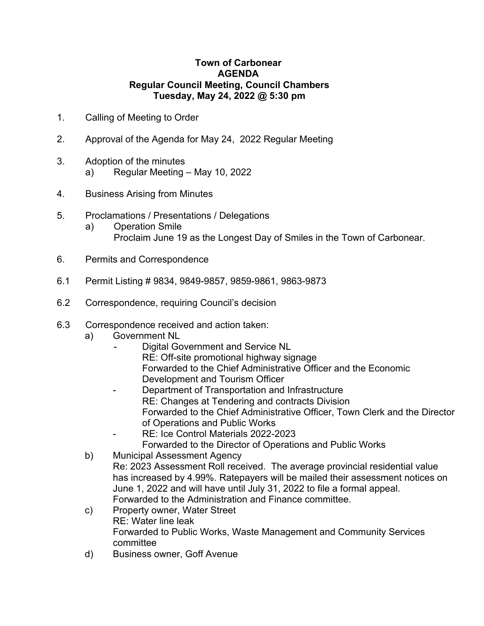## **Town of Carbonear AGENDA Regular Council Meeting, Council Chambers Tuesday, May 24, 2022 @ 5:30 pm**

- 1. Calling of Meeting to Order
- 2. Approval of the Agenda for May 24, 2022 Regular Meeting
- 3. Adoption of the minutes
	- a) Regular Meeting May 10, 2022
- 4. Business Arising from Minutes
- 5. Proclamations / Presentations / Delegations
	- a) Operation Smile Proclaim June 19 as the Longest Day of Smiles in the Town of Carbonear.
- 6. Permits and Correspondence
- 6.1 Permit Listing # 9834, 9849-9857, 9859-9861, 9863-9873
- 6.2 Correspondence, requiring Council's decision
- 6.3 Correspondence received and action taken:
	- a) Government NL
		- Digital Government and Service NL RE: Off-site promotional highway signage Forwarded to the Chief Administrative Officer and the Economic Development and Tourism Officer
		- Department of Transportation and Infrastructure RE: Changes at Tendering and contracts Division Forwarded to the Chief Administrative Officer, Town Clerk and the Director of Operations and Public Works
		- RE: Ice Control Materials 2022-2023 Forwarded to the Director of Operations and Public Works
	- b) Municipal Assessment Agency
	- Re: 2023 Assessment Roll received. The average provincial residential value has increased by 4.99%. Ratepayers will be mailed their assessment notices on June 1, 2022 and will have until July 31, 2022 to file a formal appeal. Forwarded to the Administration and Finance committee.
	- c) Property owner, Water Street RE: Water line leak Forwarded to Public Works, Waste Management and Community Services committee
	- d) Business owner, Goff Avenue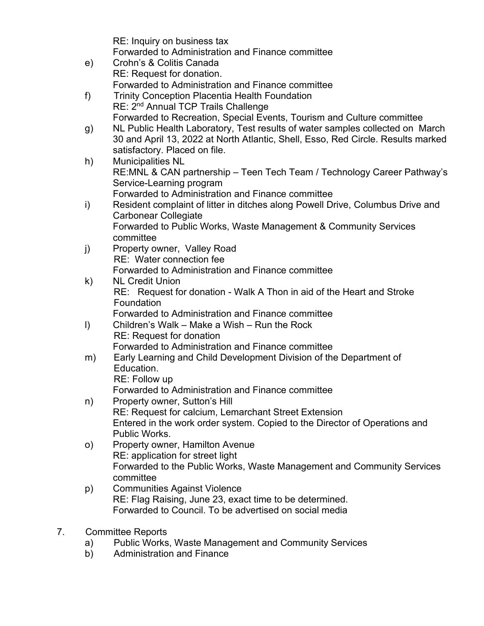|              | RE: Inquiry on business tax                                                                                                                             |
|--------------|---------------------------------------------------------------------------------------------------------------------------------------------------------|
|              | Forwarded to Administration and Finance committee<br>Crohn's & Colitis Canada                                                                           |
| e)           | RE: Request for donation.                                                                                                                               |
|              | Forwarded to Administration and Finance committee                                                                                                       |
| f)           | <b>Trinity Conception Placentia Health Foundation</b>                                                                                                   |
|              | RE: 2 <sup>nd</sup> Annual TCP Trails Challenge                                                                                                         |
|              | Forwarded to Recreation, Special Events, Tourism and Culture committee<br>NL Public Health Laboratory, Test results of water samples collected on March |
| g)           | 30 and April 13, 2022 at North Atlantic, Shell, Esso, Red Circle. Results marked                                                                        |
|              | satisfactory. Placed on file.                                                                                                                           |
| h)           | <b>Municipalities NL</b>                                                                                                                                |
|              | RE:MNL & CAN partnership - Teen Tech Team / Technology Career Pathway's                                                                                 |
|              | Service-Learning program<br>Forwarded to Administration and Finance committee                                                                           |
| i)           | Resident complaint of litter in ditches along Powell Drive, Columbus Drive and                                                                          |
|              | <b>Carbonear Collegiate</b>                                                                                                                             |
|              | Forwarded to Public Works, Waste Management & Community Services                                                                                        |
|              | committee                                                                                                                                               |
| j)           | Property owner, Valley Road<br><b>RE:</b> Water connection fee                                                                                          |
|              | Forwarded to Administration and Finance committee                                                                                                       |
| $\mathsf{k}$ | <b>NL Credit Union</b>                                                                                                                                  |
|              | RE: Request for donation - Walk A Thon in aid of the Heart and Stroke                                                                                   |
|              | Foundation<br>Forwarded to Administration and Finance committee                                                                                         |
| $\vert$      | Children's Walk – Make a Wish – Run the Rock                                                                                                            |
|              | <b>RE: Request for donation</b>                                                                                                                         |
|              | Forwarded to Administration and Finance committee                                                                                                       |
| m)           | Early Learning and Child Development Division of the Department of                                                                                      |
|              | Education.<br>RE: Follow up                                                                                                                             |
|              | Forwarded to Administration and Finance committee                                                                                                       |
| n)           | Property owner, Sutton's Hill                                                                                                                           |
|              | RE: Request for calcium, Lemarchant Street Extension                                                                                                    |
|              | Entered in the work order system. Copied to the Director of Operations and                                                                              |
| $\circ)$     | Public Works.<br>Property owner, Hamilton Avenue                                                                                                        |
|              | RE: application for street light                                                                                                                        |
|              | Forwarded to the Public Works, Waste Management and Community Services                                                                                  |
|              | committee                                                                                                                                               |
| p)           | <b>Communities Against Violence</b>                                                                                                                     |
|              | RE: Flag Raising, June 23, exact time to be determined.<br>Forwarded to Council. To be advertised on social media                                       |
|              |                                                                                                                                                         |

- 7. Committee Reports
	- a) Public Works, Waste Management and Community Services
	- b) Administration and Finance